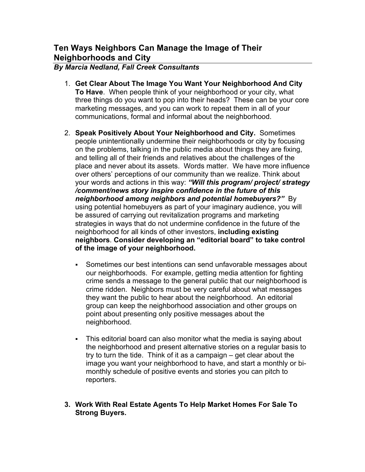# **Ten Ways Neighbors Can Manage the Image of Their Neighborhoods and City**

### *By Marcia Nedland, Fall Creek Consultants*

- 1. **Get Clear About The Image You Want Your Neighborhood And City To Have**. When people think of your neighborhood or your city, what three things do you want to pop into their heads? These can be your core marketing messages, and you can work to repeat them in all of your communications, formal and informal about the neighborhood.
- 2. **Speak Positively About Your Neighborhood and City.** Sometimes people unintentionally undermine their neighborhoods or city by focusing on the problems, talking in the public media about things they are fixing, and telling all of their friends and relatives about the challenges of the place and never about its assets. Words matter. We have more influence over others' perceptions of our community than we realize. Think about your words and actions in this way: *"Will this program/ project/ strategy /comment/news story inspire confidence in the future of this neighborhood among neighbors and potential homebuyers?"* By using potential homebuyers as part of your imaginary audience, you will be assured of carrying out revitalization programs and marketing strategies in ways that do not undermine confidence in the future of the neighborhood for all kinds of other investors, **including existing neighbors**. **Consider developing an "editorial board" to take control of the image of your neighborhood.**
	- Sometimes our best intentions can send unfavorable messages about our neighborhoods. For example, getting media attention for fighting crime sends a message to the general public that our neighborhood is crime ridden. Neighbors must be very careful about what messages they want the public to hear about the neighborhood. An editorial group can keep the neighborhood association and other groups on point about presenting only positive messages about the neighborhood.
	- This editorial board can also monitor what the media is saying about the neighborhood and present alternative stories on a regular basis to try to turn the tide. Think of it as a campaign – get clear about the image you want your neighborhood to have, and start a monthly or bimonthly schedule of positive events and stories you can pitch to reporters.
- **3. Work With Real Estate Agents To Help Market Homes For Sale To Strong Buyers.**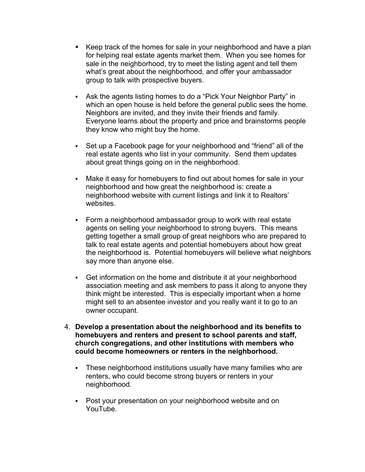- Keep track of the homes for sale in your neighborhood and have a plan for helping real estate agents market them. When you see homes for sale in the neighborhood, try to meet the listing agent and tell them what's great about the neighborhood, and offer your ambassador group to talk with prospective buyers.
- Ask the agents listing homes to do a "Pick Your Neighbor Party" in which an open house is held before the general public sees the home. Neighbors are invited, and they invite their friends and family. Everyone learns about the property and price and brainstorms people they know who might buy the home.
- Set up a Facebook page for your neighborhood and "friend" all of the real estate agents who list in your community. Send them updates about great things going on in the neighborhood.
- Make it easy for homebuyers to find out about homes for sale in your neighborhood and how great the neighborhood is: create a neighborhood website with current listings and link it to Realtors' websites.
- Form a neighborhood ambassador group to work with real estate agents on selling your neighborhood to strong buyers. This means getting together a small group of great neighbors who are prepared to talk to real estate agents and potential homebuyers about how great the neighborhood is. Potential homebuyers will believe what neighbors say more than anyone else.
- Get information on the home and distribute it at your neighborhood association meeting and ask members to pass it along to anyone they think might be interested. This is especially important when a home might sell to an absentee investor and you really want it to go to an owner occupant.
- 4. **Develop a presentation about the neighborhood and its benefits to homebuyers and renters and present to school parents and staff, church congregations, and other institutions with members who could become homeowners or renters in the neighborhood.**
	- These neighborhood institutions usually have many families who are renters, who could become strong buyers or renters in your neighborhood.
	- Post your presentation on your neighborhood website and on YouTube.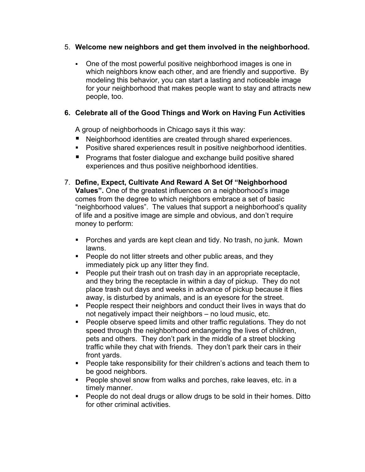### 5. **Welcome new neighbors and get them involved in the neighborhood.**

 One of the most powerful positive neighborhood images is one in which neighbors know each other, and are friendly and supportive. By modeling this behavior, you can start a lasting and noticeable image for your neighborhood that makes people want to stay and attracts new people, too.

## **6. Celebrate all of the Good Things and Work on Having Fun Activities**

A group of neighborhoods in Chicago says it this way:

- Neighborhood identities are created through shared experiences.
- Positive shared experiences result in positive neighborhood identities.
- **Programs that foster dialogue and exchange build positive shared** experiences and thus positive neighborhood identities.
- 7. **Define, Expect, Cultivate And Reward A Set Of "Neighborhood Values".** One of the greatest influences on a neighborhood's image comes from the degree to which neighbors embrace a set of basic "neighborhood values". The values that support a neighborhood's quality of life and a positive image are simple and obvious, and don't require money to perform:
	- Porches and yards are kept clean and tidy. No trash, no junk. Mown lawns.
	- **People do not litter streets and other public areas, and they** immediately pick up any litter they find.
	- **People put their trash out on trash day in an appropriate receptacle,** and they bring the receptacle in within a day of pickup. They do not place trash out days and weeks in advance of pickup because it flies away, is disturbed by animals, and is an eyesore for the street.
	- **People respect their neighbors and conduct their lives in ways that do** not negatively impact their neighbors – no loud music, etc.
	- **People observe speed limits and other traffic regulations. They do not** speed through the neighborhood endangering the lives of children, pets and others. They don't park in the middle of a street blocking traffic while they chat with friends. They don't park their cars in their front yards.
	- **People take responsibility for their children's actions and teach them to** be good neighbors.
	- **People shovel snow from walks and porches, rake leaves, etc. in a** timely manner.
	- **People do not deal drugs or allow drugs to be sold in their homes. Ditto** for other criminal activities.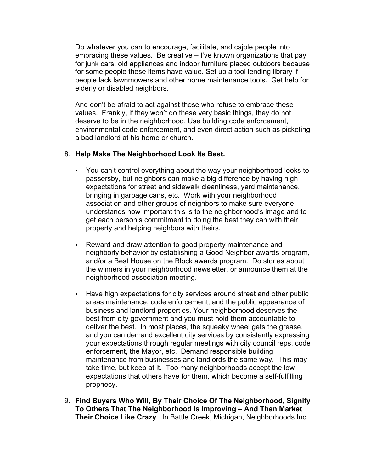Do whatever you can to encourage, facilitate, and cajole people into embracing these values. Be creative – I've known organizations that pay for junk cars, old appliances and indoor furniture placed outdoors because for some people these items have value. Set up a tool lending library if people lack lawnmowers and other home maintenance tools. Get help for elderly or disabled neighbors.

And don't be afraid to act against those who refuse to embrace these values. Frankly, if they won't do these very basic things, they do not deserve to be in the neighborhood. Use building code enforcement, environmental code enforcement, and even direct action such as picketing a bad landlord at his home or church.

#### 8. **Help Make The Neighborhood Look Its Best.**

- You can't control everything about the way your neighborhood looks to passersby, but neighbors can make a big difference by having high expectations for street and sidewalk cleanliness, yard maintenance, bringing in garbage cans, etc. Work with your neighborhood association and other groups of neighbors to make sure everyone understands how important this is to the neighborhood's image and to get each person's commitment to doing the best they can with their property and helping neighbors with theirs.
- Reward and draw attention to good property maintenance and neighborly behavior by establishing a Good Neighbor awards program, and/or a Best House on the Block awards program. Do stories about the winners in your neighborhood newsletter, or announce them at the neighborhood association meeting.
- Have high expectations for city services around street and other public areas maintenance, code enforcement, and the public appearance of business and landlord properties. Your neighborhood deserves the best from city government and you must hold them accountable to deliver the best. In most places, the squeaky wheel gets the grease, and you can demand excellent city services by consistently expressing your expectations through regular meetings with city council reps, code enforcement, the Mayor, etc. Demand responsible building maintenance from businesses and landlords the same way. This may take time, but keep at it. Too many neighborhoods accept the low expectations that others have for them, which become a self-fulfilling prophecy.
- 9. **Find Buyers Who Will, By Their Choice Of The Neighborhood, Signify To Others That The Neighborhood Is Improving – And Then Market Their Choice Like Crazy**. In Battle Creek, Michigan, Neighborhoods Inc.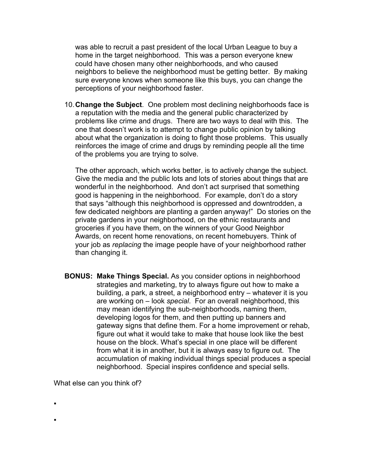was able to recruit a past president of the local Urban League to buy a home in the target neighborhood. This was a person everyone knew could have chosen many other neighborhoods, and who caused neighbors to believe the neighborhood must be getting better. By making sure everyone knows when someone like this buys, you can change the perceptions of your neighborhood faster.

10.**Change the Subject**. One problem most declining neighborhoods face is a reputation with the media and the general public characterized by problems like crime and drugs. There are two ways to deal with this. The one that doesn't work is to attempt to change public opinion by talking about what the organization is doing to fight those problems. This usually reinforces the image of crime and drugs by reminding people all the time of the problems you are trying to solve.

The other approach, which works better, is to actively change the subject. Give the media and the public lots and lots of stories about things that are wonderful in the neighborhood. And don't act surprised that something good is happening in the neighborhood. For example, don't do a story that says "although this neighborhood is oppressed and downtrodden, a few dedicated neighbors are planting a garden anyway!" Do stories on the private gardens in your neighborhood, on the ethnic restaurants and groceries if you have them, on the winners of your Good Neighbor Awards, on recent home renovations, on recent homebuyers. Think of your job as *replacing* the image people have of your neighborhood rather than changing it.

**BONUS: Make Things Special.** As you consider options in neighborhood strategies and marketing, try to always figure out how to make a building, a park, a street, a neighborhood entry – whatever it is you are working on – look *special*. For an overall neighborhood, this may mean identifying the sub-neighborhoods, naming them, developing logos for them, and then putting up banners and gateway signs that define them. For a home improvement or rehab, figure out what it would take to make that house look like the best house on the block. What's special in one place will be different from what it is in another, but it is always easy to figure out. The accumulation of making individual things special produces a special neighborhood. Special inspires confidence and special sells.

What else can you think of?

.

.